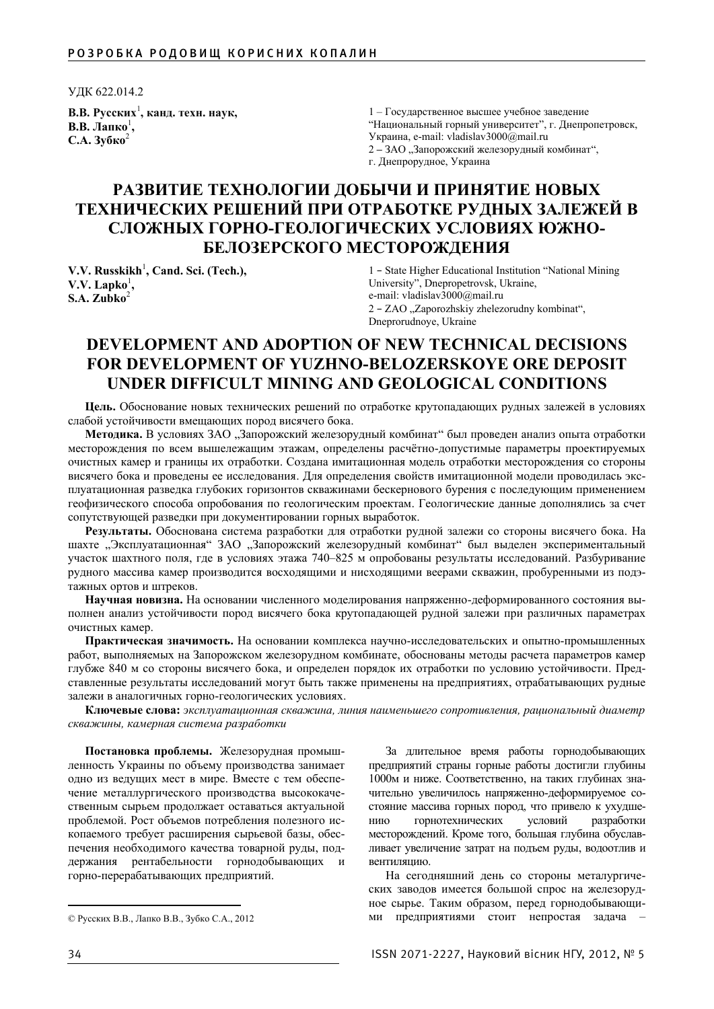УДК 622.014.2

**ȼ.ȼ. Ɋɭɫɫɤɢɯ**<sup>1</sup> **, ɤɚɧɞ. ɬɟɯɧ. ɧɚɭɤ, В.В.** Лапко<sup>1</sup>, **ɋ.Ⱥ. Ɂɭɛɤɨ**<sup>2</sup>

1 – Государственное высшее учебное заведение "Национальный горный университет", г. Днепропетровск, Украина, e-mail: vladislav3000@mail.ru 2 – ЗАО "Запорожский железорудный комбинат", г. Днепрорудное, Украина

## РАЗВИТИЕ ТЕХНОЛОГИИ ДОБЫЧИ И ПРИНЯТИЕ НОВЫХ ТЕХНИЧЕСКИХ РЕШЕНИЙ ПРИ ОТРАБОТКЕ РУДНЫХ ЗАЛЕЖЕЙ В СЛОЖНЫХ ГОРНО-ГЕОЛОГИЧЕСКИХ УСЛОВИЯХ ЮЖНО-**БЕЛОЗЕРСКОГО МЕСТОРОЖДЕНИЯ**

**V.V. Russkikh<sup>1</sup>, Cand. Sci. (Tech.),**  $V.V.$  Lapko<sup>1</sup>, **S.A. Zubko**<sup>2</sup>

1 – State Higher Educational Institution "National Mining University", Dnepropetrovsk, Ukraine, e-mail: vladislav3000@mail.ru 2 – ZAO "Zaporozhskiy zhelezorudny kombinat", Dneprorudnoye, Ukraine

## **DEVELOPMENT AND ADOPTION OF NEW TECHNICAL DECISIONS FOR DEVELOPMENT OF YUZHNO-BELOZERSKOYE ORE DEPOSIT UNDER DIFFICULT MINING AND GEOLOGICAL CONDITIONS**

**Цель.** Обоснование новых технических решений по отработке крутопадающих рудных залежей в условиях слабой устойчивости вмещающих пород висячего бока.

Методика. В условиях ЗАО "Запорожский железорудный комбинат" был проведен анализ опыта отработки месторождения по всем вышележащим этажам, определены расчётно-допустимые параметры проектируемых очистных камер и границы их отработки. Создана имитационная модель отработки месторождения со стороны висячего бока и проведены ее исследования. Для определения свойств имитационной модели проводилась эксплуатационная разведка глубоких горизонтов скважинами бескернового бурения с последующим применением геофизического способа опробования по геологическим проектам. Геологические данные дополнялись за счет сопутствующей разведки при документировании горных выработок.

Результаты. Обоснована система разработки для отработки рудной залежи со стороны висячего бока. На шахте "Эксплуатационная" ЗАО "Запорожский железорудный комбинат" был выделен экспериментальный участок шахтного поля, где в условиях этажа 740–825 м опробованы результаты исследований. Разбуривание рудного массива камер производится восходящими и нисходящими веерами скважин, пробуренными из подэтажных ортов и штреков.

Научная новизна. На основании численного моделирования напряженно-деформированного состояния выполнен анализ устойчивости пород висячего бока крутопадающей рудной залежи при различных параметрах очистных камер.

Практическая значимость. На основании комплекса научно-исследовательских и опытно-промышленных работ, выполняемых на Запорожском железорудном комбинате, обоснованы методы расчета параметров камер глубже 840 м со стороны висячего бока, и определен порядок их отработки по условию устойчивости. Представленные результаты исследований могут быть также применены на предприятиях, отрабатывающих рудные залежи в аналогичных горно-геологических условиях.

Ключевые слова: эксплуатационная скважина, линия наименьшего сопротивления, рациональный диаметр скважины, камерная система разработки

Постановка проблемы. Железорудная промышленность Украины по объему производства занимает одно из ведущих мест в мире. Вместе с тем обеспечение металлургического производства высококачественным сырьем продолжает оставаться актуальной проблемой. Рост объемов потребления полезного ископаемого требует расширения сырьевой базы, обеспечения необходимого качества товарной руды, поддержания рентабельности горнодобывающих и горно-перерабатывающих предприятий.

За длительное время работы горнодобывающих предприятий страны горные работы достигли глубины 1000м и ниже. Соответственно, на таких глубинах значительно увеличилось напряженно-деформируемое состояние массива горных пород, что привело к ухудшению горнотехнических условий разработки месторождений. Кроме того, большая глубина обуславливает увеличение затрат на подъем руды, водоотлив и вентипянию

На сегодняшний день со стороны металургических заводов имеется большой спрос на железорудное сырье. Таким образом, перед горнодобывающими предприятиями стоит непростая задача -

<sup>©</sup> Русских В.В., Лапко В.В., Зубко С.А., 2012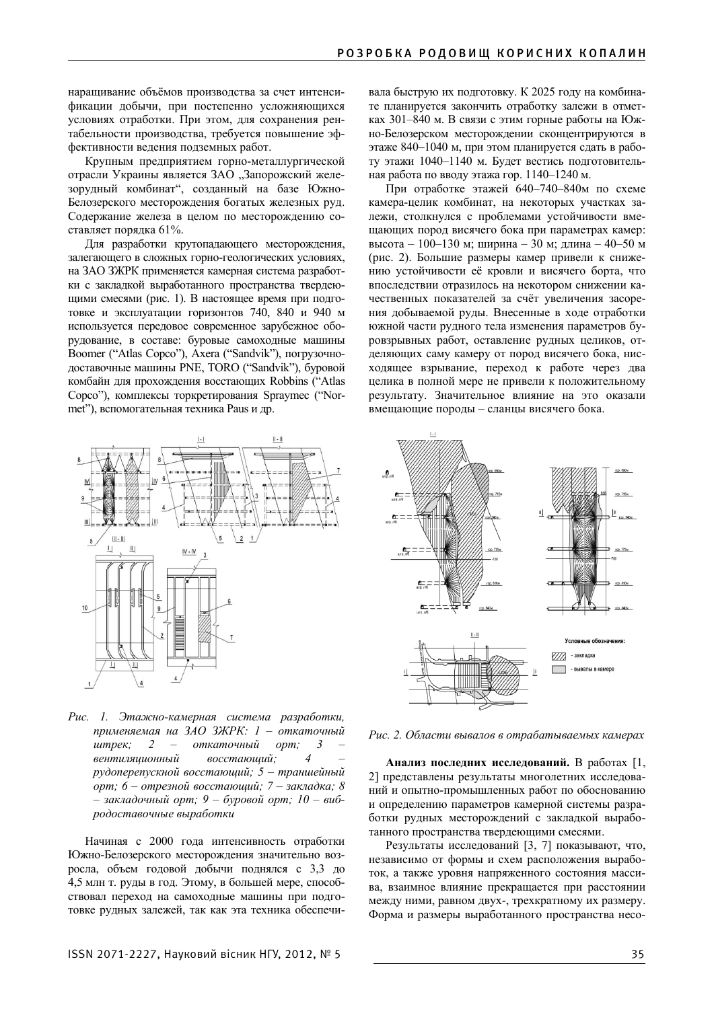наращивание объёмов производства за счет интенсификации добычи, при постепенно усложняющихся условиях отработки. При этом, для сохранения рентабельности производства, требуется повышение эффективности ведения подземных работ.

Крупным предприятием горно-металлургической отрасли Украины является ЗАО "Запорожский железорудный комбинат", созданный на базе Южно-Белозерского месторождения богатых железных руд. Содержание железа в целом по месторождению составляет порядка 61%.

Для разработки крутопадающего месторождения, залегающего в сложных горно-геологических условиях, на ЗАО ЗЖРК применяется камерная система разработки с закладкой выработанного пространства твердеющими смесями (рис. 1). В настоящее время при подготовке и эксплуатации горизонтов 740, 840 и 940 м используется передовое современное зарубежное оборудование, в составе: буровые самоходные машины Boomer ("Atlas Copco"), Axera ("Sandvik"), погрузочнодоставочные машины PNE, TORO ("Sandvik"), буровой комбайн для прохождения восстающих Robbins ("Atlas Сорсо"), комплексы торкретирования Spraymec ("Normet"), вспомогательная техника Paus и др.



Рис. 1. Этажно-камерная система разработки, применяемая на ЗАО ЗЖРК: 1 – откаточный  $\mu$ *wmpeк*; 2 – откаточный орт; 3 вентиляционный восстающий;  $py\delta$ оперепускной восстающий; 5 – траншейный  $i$ *• отрезной восстающий; 7 – закладка; 8*  $-$  закладочный орт; 9 – буровой орт; 10 – виб $p$ одоставочные выработки

Начиная с 2000 гола интенсивность отработки Южно-Белозерского месторождения значительно возросла, объем годовой добычи поднялся с 3,3 до 4,5 млн т. руды в год. Этому, в большей мере, способствовал переход на самоходные машины при подготовке рудных залежей, так как эта техника обеспечи-

вала быструю их подготовку. К 2025 году на комбинате планируется закончить отработку залежи в отметках 301–840 м. В связи с этим горные работы на Южно-Белозерском месторождении сконцентрируются в этаже 840–1040 м, при этом планируется сдать в работу этажи 1040–1140 м. Будет вестись подготовительная работа по вводу этажа гор. 1140–1240 м.

При отработке этажей 640–740–840м по схеме камера-целик комбинат, на некоторых участках залежи, столкнулся с проблемами устойчивости вмещающих пород висячего бока при параметрах камер: высота – 100–130 м; ширина – 30 м; длина – 40–50 м (рис. 2). Большие размеры камер привели к снижению устойчивости её кровли и висячего борта, что впоследствии отразилось на некотором снижении качественных показателей за счёт увеличения засорения добываемой руды. Внесенные в ходе отработки южной части рудного тела изменения параметров буровзрывных работ, оставление рудных целиков, отделяющих саму камеру от пород висячего бока, нисходящее взрывание, переход к работе через два целика в полной мере не привели к положительному результату. Значительное влияние на это оказали вмещающие породы – сланцы висячего бока.



Рис. 2. Области вывалов в отрабатываемых камерах

Анализ последних исследований. В работах [1, 2] представлены результаты многолетних исследований и опытно-промышленных работ по обоснованию и определению параметров камерной системы разработки рудных месторождений с закладкой выработанного пространства твердеющими смесями.

Результаты исследований [3, 7] показывают, что, независимо от формы и схем расположения выработок, а также уровня напряженного состояния массива, взаимное влияние прекращается при расстоянии между ними, равном двух-, трехкратному их размеру. Форма и размеры выработанного пространства несо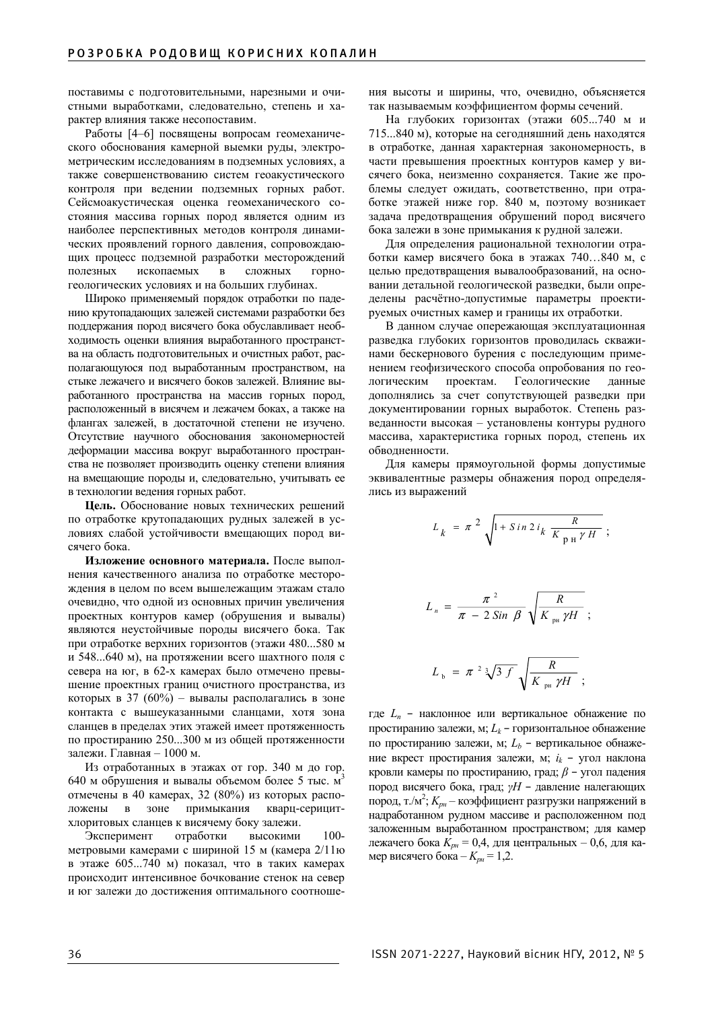поставимы с подготовительными, нарезными и очистными выработками, следовательно, степень и характер влияния также несопоставим.

Работы [4–6] посвящены вопросам геомеханического обоснования камерной выемки руды, электрометрическим исследованиям в подземных условиях, а также совершенствованию систем геоакустического контроля при ведении подземных горных работ. Сейсмоакустическая оценка геомеханического состояния массива горных пород является одним из наиболее перспективных методов контроля динамических проявлений горного давления, сопровождающих процесс подземной разработки месторождений полезных ископаемых в сложных горногеологических условиях и на больших глубинах.

Широко применяемый порядок отработки по падению крутопадающих залежей системами разработки без поддержания пород висячего бока обуславливает необходимость оценки влияния выработанного пространства на область подготовительных и очистных работ, располагающуюся под выработанным пространством, на стыке лежачего и висячего боков залежей. Влияние выработанного пространства на массив горных пород, расположенный в висячем и лежачем боках, а также на флангах залежей, в достаточной степени не изучено. Отсутствие научного обоснования закономерностей деформации массива вокруг выработанного пространства не позволяет производить оценку степени влияния на вмещающие породы и, следовательно, учитывать ее в технологии ведения горных работ.

**Цель.** Обоснование новых технических решений по отработке крутопадающих рудных залежей в условиях слабой устойчивости вмещающих пород висячего бока.

Изложение основного материала. После выполнения качественного анализа по отработке месторождения в целом по всем вышележащим этажам стало очевидно, что одной из основных причин увеличения проектных контуров камер (обрушения и вывалы) являются неустойчивые породы висячего бока. Так при отработке верхних горизонтов (этажи 480...580 м и 548...640 м), на протяжении всего шахтного поля с севера на юг, в 62-х камерах было отмечено превышение проектных границ очистного пространства, из которых в 37 (60%) – вывалы располагались в зоне контакта с вышеуказанными сланцами, хотя зона сланцев в пределах этих этажей имеет протяженность по простиранию 250...300 м из общей протяженности залежи. Главная - 1000 м.

Из отработанных в этажах от гор. 340 м до гор. 640 м обрушения и вывалы объемом более 5 тыс.  $M<sup>3</sup>$ отмечены в 40 камерах, 32 (80%) из которых расположены в зоне примыкания кварц-серицитхлоритовых сланцев к висячему боку залежи.

Эксперимент отработки высокими 100метровыми камерами с шириной 15 м (камера 2/11ю в этаже  $605...740$  м) показал, что в таких камерах происходит интенсивное бочкование стенок на север и юг залежи до достижения оптимального соотноше-

ния высоты и ширины, что, очевидно, объясняется так называемым коэффициентом формы сечений.

На глубоких горизонтах (этажи 605...740 м и 715...840 м), которые на сегодняшний день находятся в отработке, данная характерная закономерность, в части превышения проектных контуров камер у висячего бока, неизменно сохраняется. Такие же проблемы следует ожидать, соответственно, при отработке этажей ниже гор. 840 м, поэтому возникает задача предотвращения обрушений пород висячего бока залежи в зоне примыкания к рудной залежи.

Для определения рациональной технологии отработки камер висячего бока в этажах 740...840 м, с целью предотвращения вывалообразований, на основании детальной геологической разведки, были определены расчётно-допустимые параметры проектируемых очистных камер и границы их отработки.

В данном случае опережающая эксплуатационная разведка глубоких горизонтов проводилась скважинами бескернового бурения с последующим применением геофизического способа опробования по геологическим проектам. Геологические данные дополнялись за счет сопутствующей разведки при документировании горных выработок. Степень разведанности высокая – установлены контуры рудного массива, характеристика горных пород, степень их обводненности.

Для камеры прямоугольной формы допустимые эквивалентные размеры обнажения пород определялись из выражений

$$
L_{k} = \pi^{2} \sqrt{1 + \sin 2 i_{k} \frac{R}{K_{\text{pH}} \gamma H}} ;
$$
  

$$
L_{n} = \frac{\pi^{2}}{\pi - 2 \sin \beta} \sqrt{\frac{R}{K_{\text{pu}} \gamma H}} ;
$$
  

$$
L_{b} = \pi^{2} \sqrt[3]{3 f} \sqrt{\frac{R}{K_{\text{pu}} \gamma H}} ;
$$

где *L<sub>n</sub>* – наклонное или вертикальное обнажение по простиранию залежи, м;  $L_k$  – горизонтальное обнажение по простиранию залежи, м;  $L<sub>b</sub>$  – вертикальное обнажение вкрест простирания залежи, м;  $i_k$  – угол наклона кровли камеры по простиранию, град;  $\beta$  – угол падения пород висячего бока, град;  $\gamma H$  – давление налегающих пород, т./м<sup>2</sup>;  $K_{\nu\mu}$  – коэффициент разгрузки напряжений в надработанном рудном массиве и расположенном под заложенным выработанном пространством; для камер лежачего бока  $K_{pa} = 0,4$ , для центральных – 0,6, для камер висячего бока –  $K_{p} = 1,2$ .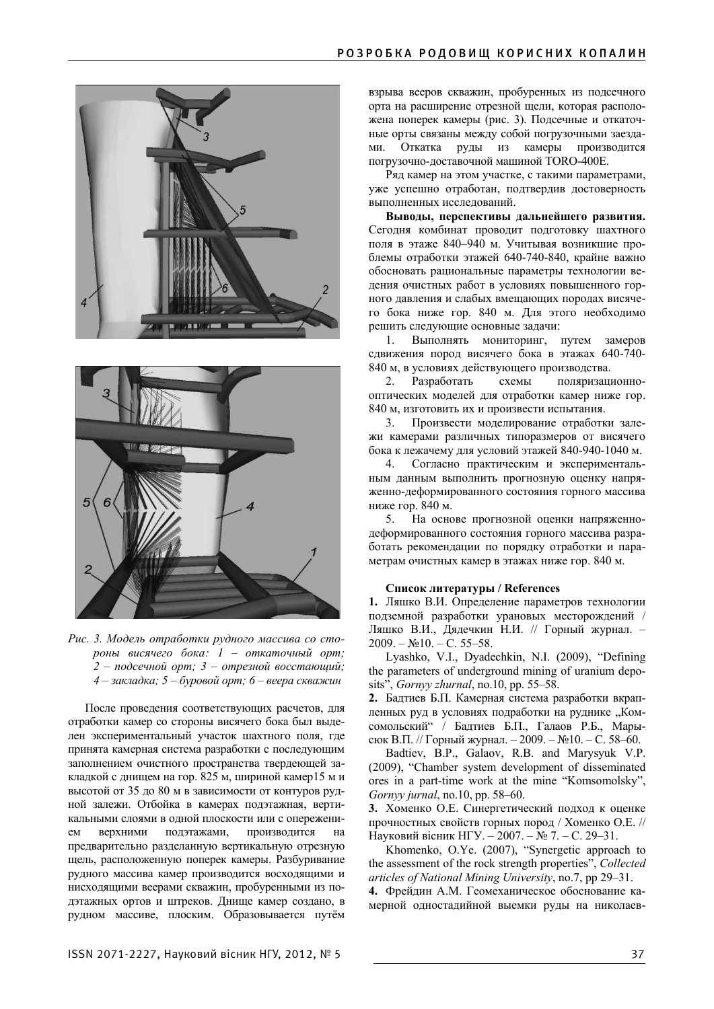



Рис. 3. Модель отработки рудного массива со сто $p$ *оны висячего бока: 1 – откаточный орт;*  $2 -$  подсечной орт; 3 – отрезной восстающий;  $4 - 3a$ кладка; 5 – буровой орт; 6 – веера скважин

После проведения соответствующих расчетов, для отработки камер со стороны висячего бока был выделен экспериментальный участок шахтного поля, где принята камерная система разработки с последующим заполнением очистного пространства твердеющей закладкой с днищем на гор. 825 м, шириной камер15 м и высотой от 35 до 80 м в зависимости от контуров рудной залежи. Отбойка в камерах подэтажная, вертикальными слоями в одной плоскости или с опережением верхними подэтажами, производится на предварительно разделанную вертикальную отрезную щель, расположенную поперек камеры. Разбуривание рудного массива камер производится восходящими и нисходящими веерами скважин, пробуренными из подэтажных ортов и штреков. Днище камер создано, в рулном массиве, плоским, Образовывается путём

взрыва вееров скважин, пробуренных из подсечного орта на расширение отрезной щели, которая расположена поперек камеры (рис. 3). Подсечные и откаточные орты связаны между собой погрузочными заездами. Откатка руды из камеры производится погрузочно-доставочной машиной TORO-400E.

Ряд камер на этом участке, с такими параметрами, уже успешно отработан, подтвердив достоверность выполненных исследований.

Выводы, перспективы дальнейшего развития. Сегодня комбинат проводит подготовку шахтного поля в этаже 840–940 м. Учитывая возникшие проблемы отработки этажей 640-740-840, крайне важно обосновать рациональные параметры технологии ведения очистных работ в условиях повышенного горного давления и слабых вмещающих породах висячего бока ниже гор. 840 м. Для этого необходимо решить следующие основные задачи:

1. Выполнять мониторинг, путем замеров сдвижения пород висячего бока в этажах 640-740-840 м, в условиях действующего производства.

2. Разработать схемы поляризационнооптических моделей для отработки камер ниже гор. 840 м, изготовить их и произвести испытания.

3. Произвести моделирование отработки залежи камерами различных типоразмеров от висячего бока к лежачему для условий этажей 840-940-1040 м.

4. Согласно практическим и экспериментальным данным выполнить прогнозную оценку напряженно-деформированного состояния горного массива ниже гор. 840 м.

5. На основе прогнозной оценки напряженнодеформированного состояния горного массива разработать рекомендации по порядку отработки и параметрам очистных камер в этажах ниже гор. 840 м.

## Список литературы / References

1. Ляшко В.И. Определение параметров технологии подземной разработки урановых месторождений / Ляшко В.И., Дядечкин Н.И. // Горный журнал. - $2009. - N<sub>2</sub>10. - C. 55-58.$ 

Lyashko, V.I., Dyadechkin, N.I. (2009), "Defining the parameters of underground mining of uranium deposits", *Gornyy zhurnal*, no.10, pp. 55–58.

2. Бадтиев Б.П. Камерная система разработки вкрапленных руд в условиях подработки на руднике "Комсомольский" / Бадтиев Б.П., Галаов Р.Б., Марысюк В.П. // Горный журнал. – 2009. – №10. – С. 58–60.

Badtiev, B.P., Galaov, R.B. and Marysyuk V.P. (2009), "Chamber system development of disseminated ores in a part-time work at the mine "Komsomolsky", *Gornyy jurnal*, no.10, pp. 58–60.

3. Хоменко О.Е. Синергетический подход к оценке прочностных свойств горных пород / Хоменко О.Е. // Науковий вісник НГУ. – 2007. – № 7. – С. 29–31.

Khomenko, O.Ye. (2007), "Synergetic approach to the assessment of the rock strength properties", *Collected articles of National Mining University*, no.7, pp 29–31.

4. Фрейдин А.М. Геомеханическое обоснование камерной одностадийной выемки руды на николаев